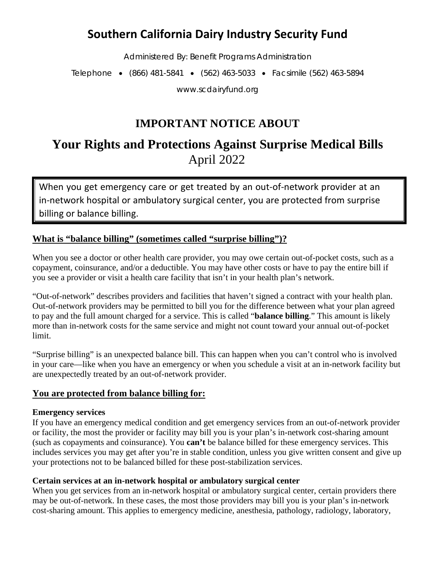# **Southern California Dairy Industry Security Fund**

Administered By: Benefit Programs Administration

Telephone • (866) 481-5841 • (562) 463-5033 • Facsimile (562) 463-5894

www.scdairyfund.org

# **IMPORTANT NOTICE ABOUT**

# **Your Rights and Protections Against Surprise Medical Bills** April 2022

When you get emergency care or get treated by an out-of-network provider at an in-network hospital or ambulatory surgical center, you are protected from surprise billing or balance billing.

## **What is "balance billing" (sometimes called "surprise billing")?**

When you see a doctor or other health care provider, you may owe certain out-of-pocket costs, such as a copayment, coinsurance, and/or a deductible. You may have other costs or have to pay the entire bill if you see a provider or visit a health care facility that isn't in your health plan's network.

"Out-of-network" describes providers and facilities that haven't signed a contract with your health plan. Out-of-network providers may be permitted to bill you for the difference between what your plan agreed to pay and the full amount charged for a service. This is called "**balance billing**." This amount is likely more than in-network costs for the same service and might not count toward your annual out-of-pocket limit.

"Surprise billing" is an unexpected balance bill. This can happen when you can't control who is involved in your care—like when you have an emergency or when you schedule a visit at an in-network facility but are unexpectedly treated by an out-of-network provider.

### **You are protected from balance billing for:**

#### **Emergency services**

If you have an emergency medical condition and get emergency services from an out-of-network provider or facility, the most the provider or facility may bill you is your plan's in-network cost-sharing amount (such as copayments and coinsurance). You **can't** be balance billed for these emergency services. This includes services you may get after you're in stable condition, unless you give written consent and give up your protections not to be balanced billed for these post-stabilization services.

#### **Certain services at an in-network hospital or ambulatory surgical center**

When you get services from an in-network hospital or ambulatory surgical center, certain providers there may be out-of-network. In these cases, the most those providers may bill you is your plan's in-network cost-sharing amount. This applies to emergency medicine, anesthesia, pathology, radiology, laboratory,